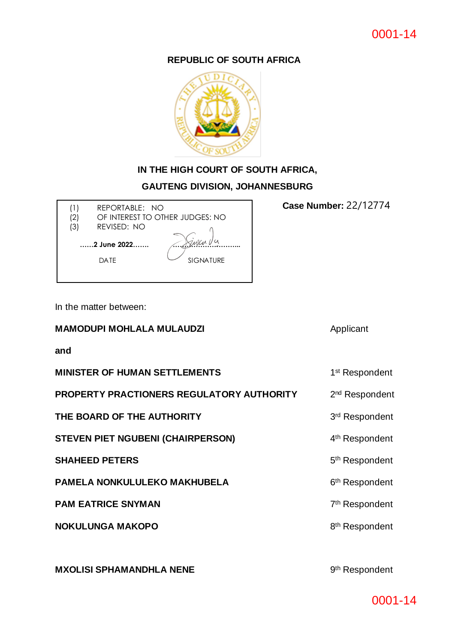### **REPUBLIC OF SOUTH AFRICA**



## **IN THE HIGH COURT OF SOUTH AFRICA,**

### **GAUTENG DIVISION, JOHANNESBURG**

 **<b>Case Number:** 22/12774 (1) REPORTABLE: NO (2) OF INTEREST TO OTHER JUDGES: NO

DATE SIGNATURE

 **……2 June 2022……. ………………………...**

(3) REVISED: NO

In the matter between:

### **MAMODUPI MOHLALA MULAUDZI Applicant**

**and** 

| <b>MINISTER OF HUMAN SETTLEMENTS</b>      | 1 <sup>st</sup> Respondent |
|-------------------------------------------|----------------------------|
| PROPERTY PRACTIONERS REGULATORY AUTHORITY | 2 <sup>nd</sup> Respondent |
| THE BOARD OF THE AUTHORITY                | 3rd Respondent             |
| <b>STEVEN PIET NGUBENI (CHAIRPERSON)</b>  | 4 <sup>th</sup> Respondent |
| <b>SHAHEED PETERS</b>                     | 5 <sup>th</sup> Respondent |
| <b>PAMELA NONKULULEKO MAKHUBELA</b>       | 6 <sup>th</sup> Respondent |
| <b>PAM EATRICE SNYMAN</b>                 | 7 <sup>th</sup> Respondent |
| <b>NOKULUNGA MAKOPO</b>                   | 8 <sup>th</sup> Respondent |
|                                           |                            |

**MXOLISI SPHAMANDHLA NENE** 

9<sup>th</sup> Respondent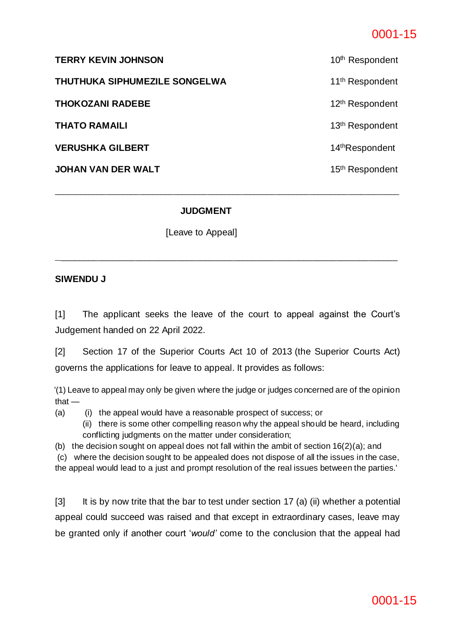# 0001-15

| <b>TERRY KEVIN JOHNSON</b>    | 10 <sup>th</sup> Respondent |
|-------------------------------|-----------------------------|
| THUTHUKA SIPHUMEZILE SONGELWA | 11 <sup>th</sup> Respondent |
| <b>THOKOZANI RADEBE</b>       | 12 <sup>th</sup> Respondent |
| THATO RAMAILI                 | 13 <sup>th</sup> Respondent |
| <b>VERUSHKA GILBERT</b>       | 14 <sup>th</sup> Respondent |
| JOHAN VAN DER WALT            | 15 <sup>th</sup> Respondent |
|                               |                             |

\_\_\_\_\_\_\_\_\_\_\_\_\_\_\_\_\_\_\_\_\_\_\_\_\_\_\_\_\_\_\_\_\_\_\_\_\_\_\_\_\_\_\_\_\_\_\_\_\_\_\_\_\_\_\_\_\_\_\_\_\_\_\_\_\_\_\_\_\_\_\_\_\_\_\_\_\_\_\_\_\_

**\_**\_\_\_\_\_\_\_\_\_\_\_\_\_\_\_\_\_\_\_\_\_\_\_\_\_\_\_\_\_\_\_\_\_\_\_\_\_\_\_\_\_\_\_\_\_\_\_\_\_\_\_\_\_\_\_\_\_\_\_\_\_\_\_\_\_\_\_\_\_\_\_\_

### **JUDGMENT**

[Leave to Appeal]

#### **SIWENDU J**

[1] The applicant seeks the leave of the court to appeal against the Court's Judgement handed on 22 April 2022.

[2] Section 17 of the Superior Courts Act 10 of 2013 (the Superior Courts Act) governs the applications for leave to appeal. It provides as follows:

 '(1) Leave to appeal may only be given where the judge or judges concerned are of the opinion that —

- (a) (i) the appeal would have a reasonable prospect of success; or
	- (ii) there is some other compelling reason why the appeal should be heard, including conflicting judgments on the matter under consideration;

(b) the decision sought on appeal does not fall within the ambit of section 16(2)(a); and

 (c) where the decision sought to be appealed does not dispose of all the issues in the case, the appeal would lead to a just and prompt resolution of the real issues between the parties.'

[3] It is by now trite that the bar to test under section 17 (a) (ii) whether a potential appeal could succeed was raised and that except in extraordinary cases, leave may be granted only if another court '*would'* come to the conclusion that the appeal had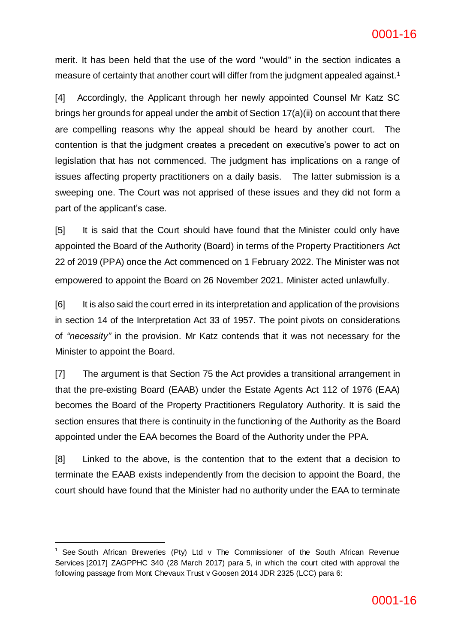merit. It has been held that the use of the word ''would'' in the section indicates a measure of certainty that another court will differ from the judgment appealed against.<sup>1</sup>

[4] Accordingly, the Applicant through her newly appointed Counsel Mr Katz SC brings her grounds for appeal under the ambit of Section 17(a)(ii) on account that there are compelling reasons why the appeal should be heard by another court. The contention is that the judgment creates a precedent on executive's power to act on legislation that has not commenced. The judgment has implications on a range of issues affecting property practitioners on a daily basis. The latter submission is a sweeping one. The Court was not apprised of these issues and they did not form a part of the applicant's case.

[5] It is said that the Court should have found that the Minister could only have appointed the Board of the Authority (Board) in terms of the Property Practitioners Act 22 of 2019 (PPA) once the Act commenced on 1 February 2022. The Minister was not empowered to appoint the Board on 26 November 2021. Minister acted unlawfully.

[6] It is also said the court erred in its interpretation and application of the provisions in section 14 of the Interpretation Act 33 of 1957. The point pivots on considerations of *"necessity"* in the provision. Mr Katz contends that it was not necessary for the Minister to appoint the Board.

[7] The argument is that Section 75 the Act provides a transitional arrangement in that the pre-existing Board (EAAB) under the Estate Agents Act 112 of 1976 (EAA) becomes the Board of the Property Practitioners Regulatory Authority. It is said the section ensures that there is continuity in the functioning of the Authority as the Board appointed under the EAA becomes the Board of the Authority under the PPA.

[8] Linked to the above, is the contention that to the extent that a decision to terminate the EAAB exists independently from the decision to appoint the Board, the court should have found that the Minister had no authority under the EAA to terminate

-

<sup>&</sup>lt;sup>1</sup> See South African Breweries (Pty) Ltd v The Commissioner of the South African Revenue Services [2017] ZAGPPHC 340 (28 March 2017) para 5, in which the court cited with approval the following passage from Mont Chevaux Trust v Goosen 2014 JDR 2325 (LCC) para 6: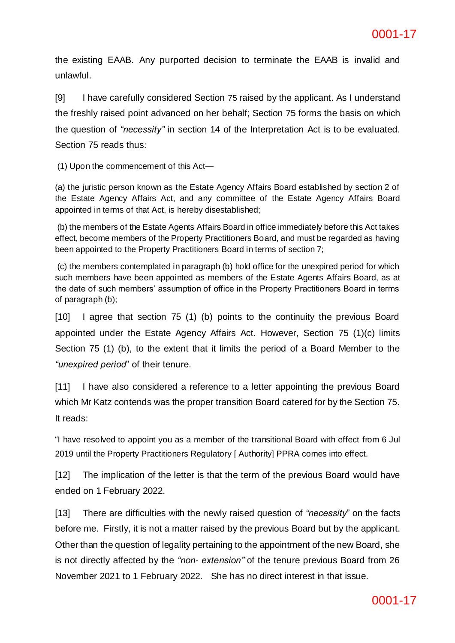the existing EAAB. Any purported decision to terminate the EAAB is invalid and unlawful.

[9] I have carefully considered Section 75 raised by the applicant. As I understand the freshly raised point advanced on her behalf; Section 75 forms the basis on which the question of *"necessity"* in section 14 of the Interpretation Act is to be evaluated. Section 75 reads thus:

(1) Upon the commencement of this Act—

(a) the juristic person known as the Estate Agency Affairs Board established by section 2 of the Estate Agency Affairs Act, and any committee of the Estate Agency Affairs Board appointed in terms of that Act, is hereby disestablished;

(b) the members of the Estate Agents Affairs Board in office immediately before this Act takes effect, become members of the Property Practitioners Board, and must be regarded as having been appointed to the Property Practitioners Board in terms of section 7;

(c) the members contemplated in paragraph (b) hold office for the unexpired period for which such members have been appointed as members of the Estate Agents Affairs Board, as at the date of such members' assumption of office in the Property Practitioners Board in terms of paragraph (b);

[10] I agree that section 75 (1) (b) points to the continuity the previous Board appointed under the Estate Agency Affairs Act. However, Section 75 (1)(c) limits Section 75 (1) (b), to the extent that it limits the period of a Board Member to the *"unexpired period*" of their tenure.

[11] I have also considered a reference to a letter appointing the previous Board which Mr Katz contends was the proper transition Board catered for by the Section 75. It reads:

"I have resolved to appoint you as a member of the transitional Board with effect from 6 Jul 2019 until the Property Practitioners Regulatory [ Authority] PPRA comes into effect.

[12] The implication of the letter is that the term of the previous Board would have ended on 1 February 2022.

[13] There are difficulties with the newly raised question of *"necessity*" on the facts before me. Firstly, it is not a matter raised by the previous Board but by the applicant. Other than the question of legality pertaining to the appointment of the new Board, she is not directly affected by the *"non- extension"* of the tenure previous Board from 26 November 2021 to 1 February 2022. She has no direct interest in that issue.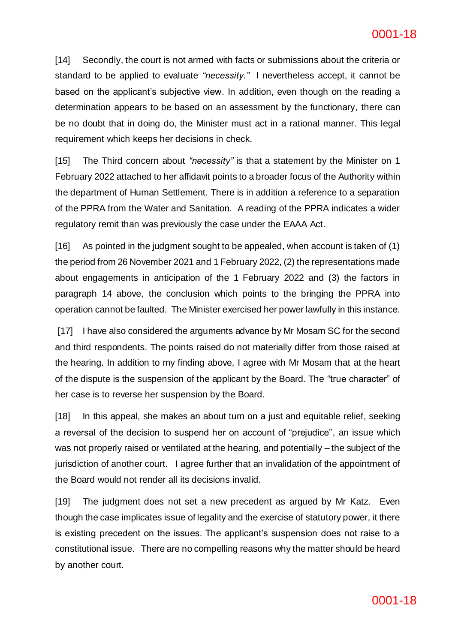[14] Secondly, the court is not armed with facts or submissions about the criteria or standard to be applied to evaluate *"necessity."* I nevertheless accept, it cannot be based on the applicant's subjective view. In addition, even though on the reading a determination appears to be based on an assessment by the functionary, there can be no doubt that in doing do, the Minister must act in a rational manner. This legal requirement which keeps her decisions in check.

[15] The Third concern about *"necessity"* is that a statement by the Minister on 1 February 2022 attached to her affidavit points to a broader focus of the Authority within the department of Human Settlement. There is in addition a reference to a separation of the PPRA from the Water and Sanitation. A reading of the PPRA indicates a wider regulatory remit than was previously the case under the EAAA Act.

[16] As pointed in the judgment sought to be appealed, when account is taken of (1) the period from 26 November 2021 and 1 February 2022, (2) the representations made about engagements in anticipation of the 1 February 2022 and (3) the factors in paragraph 14 above, the conclusion which points to the bringing the PPRA into operation cannot be faulted. The Minister exercised her power lawfully in this instance.

[17] I have also considered the arguments advance by Mr Mosam SC for the second and third respondents. The points raised do not materially differ from those raised at the hearing. In addition to my finding above, I agree with Mr Mosam that at the heart of the dispute is the suspension of the applicant by the Board. The "true character" of her case is to reverse her suspension by the Board.

[18] In this appeal, she makes an about turn on a just and equitable relief, seeking a reversal of the decision to suspend her on account of "prejudice", an issue which was not properly raised or ventilated at the hearing, and potentially – the subject of the jurisdiction of another court. I agree further that an invalidation of the appointment of the Board would not render all its decisions invalid.

[19] The judgment does not set a new precedent as argued by Mr Katz. Even though the case implicates issue of legality and the exercise of statutory power, it there is existing precedent on the issues. The applicant's suspension does not raise to a constitutional issue. There are no compelling reasons why the matter should be heard by another court.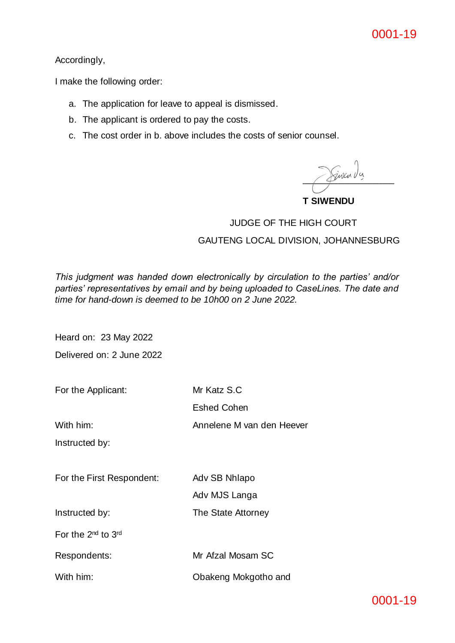Accordingly,

I make the following order:

- a. The application for leave to appeal is dismissed.
- b. The applicant is ordered to pay the costs.
- c. The cost order in b. above includes the costs of senior counsel.

 $\sqrt{2}$ iva da

**T SIWENDU**

# JUDGE OF THE HIGH COURT GAUTENG LOCAL DIVISION, JOHANNESBURG

*This judgment was handed down electronically by circulation to the parties' and/or parties' representatives by email and by being uploaded to CaseLines. The date and time for hand-down is deemed to be 10h00 on 2 June 2022.*

Heard on: 23 May 2022

Delivered on: 2 June 2022

For the Applicant: Mr Katz S.C

With him: Annelene M van den Heever

Eshed Cohen

Instructed by:

For the First Respondent: Adv SB Nhlapo

Adv MJS Langa

Instructed by: The State Attorney

For the 2<sup>nd</sup> to 3<sup>rd</sup>

Respondents: Mr Afzal Mosam SC

With him: **Obakeng Mokgotho and**